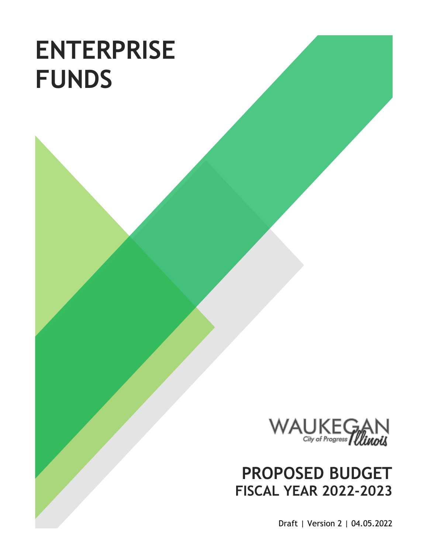# **ENTERPRISE FUNDS**



# **PROPOSED BUDGET FISCAL YEAR 2022-2023**

Draft | Version 2 | 04.05.2022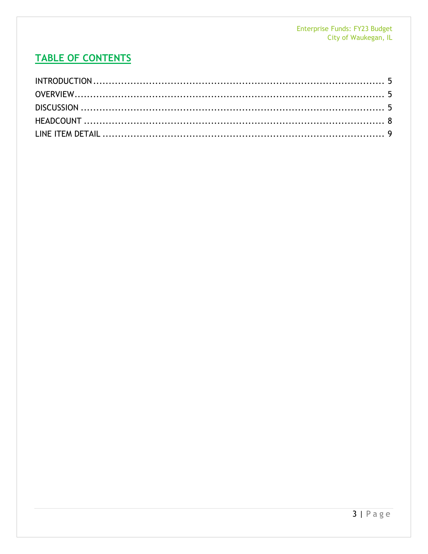# **TABLE OF CONTENTS**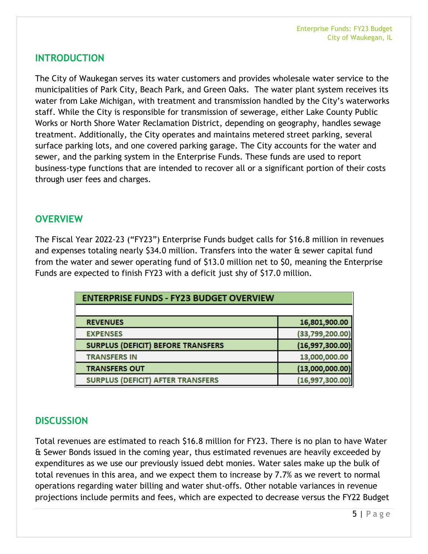## <span id="page-4-0"></span>**INTRODUCTION**

The City of Waukegan serves its water customers and provides wholesale water service to the municipalities of Park City, Beach Park, and Green Oaks. The water plant system receives its water from Lake Michigan, with treatment and transmission handled by the City's waterworks staff. While the City is responsible for transmission of sewerage, either Lake County Public Works or North Shore Water Reclamation District, depending on geography, handles sewage treatment. Additionally, the City operates and maintains metered street parking, several surface parking lots, and one covered parking garage. The City accounts for the water and sewer, and the parking system in the Enterprise Funds. These funds are used to report business-type functions that are intended to recover all or a significant portion of their costs through user fees and charges.

## <span id="page-4-1"></span>**OVERVIEW**

The Fiscal Year 2022-23 ("FY23") Enterprise Funds budget calls for \$16.8 million in revenues and expenses totaling nearly \$34.0 million. Transfers into the water & sewer capital fund from the water and sewer operating fund of \$13.0 million net to \$0, meaning the Enterprise Funds are expected to finish FY23 with a deficit just shy of \$17.0 million.

| <b>ENTERPRISE FUNDS - FY23 BUDGET OVERVIEW</b> |                 |
|------------------------------------------------|-----------------|
| <b>REVENUES</b>                                | 16,801,900.00   |
| <b>EXPENSES</b>                                | (33,799,200.00) |
| <b>SURPLUS (DEFICIT) BEFORE TRANSFERS</b>      | (16,997,300.00) |
| <b>TRANSFERS IN</b>                            | 13,000,000.00   |
| <b>TRANSFERS OUT</b>                           | (13,000,000.00) |
| <b>SURPLUS (DEFICIT) AFTER TRANSFERS</b>       | (16,997,300.00) |

# <span id="page-4-2"></span>**DISCUSSION**

Total revenues are estimated to reach \$16.8 million for FY23. There is no plan to have Water & Sewer Bonds issued in the coming year, thus estimated revenues are heavily exceeded by expenditures as we use our previously issued debt monies. Water sales make up the bulk of total revenues in this area, and we expect them to increase by 7.7% as we revert to normal operations regarding water billing and water shut-offs. Other notable variances in revenue projections include permits and fees, which are expected to decrease versus the FY22 Budget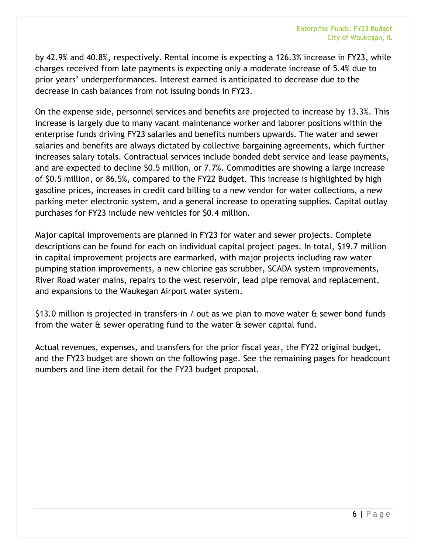by 42.9% and 40.8%, respectively. Rental income is expecting a 126.3% increase in FY23, while charges received from late payments is expecting only a moderate increase of 5.4% due to prior years' underperformances. Interest earned is anticipated to decrease due to the decrease in cash balances from not issuing bonds in FY23.

On the expense side, personnel services and benefits are projected to increase by 13.3%. This increase is largely due to many vacant maintenance worker and laborer positions within the enterprise funds driving FY23 salaries and benefits numbers upwards. The water and sewer salaries and benefits are always dictated by collective bargaining agreements, which further increases salary totals. Contractual services include bonded debt service and lease payments, and are expected to decline \$0.5 million, or 7.7%. Commodities are showing a large increase of \$0.5 million, or 86.5%, compared to the FY22 Budget. This increase is highlighted by high gasoline prices, increases in credit card billing to a new vendor for water collections, a new parking meter electronic system, and a general increase to operating supplies. Capital outlay purchases for FY23 include new vehicles for \$0.4 million.

Major capital improvements are planned in FY23 for water and sewer projects. Complete descriptions can be found for each on individual capital project pages. In total, \$19.7 million in capital improvement projects are earmarked, with major projects including raw water pumping station improvements, a new chlorine gas scrubber, SCADA system improvements, River Road water mains, repairs to the west reservoir, lead pipe removal and replacement, and expansions to the Waukegan Airport water system.

\$13.0 million is projected in transfers-in / out as we plan to move water & sewer bond funds from the water  $\theta$  sewer operating fund to the water  $\theta$  sewer capital fund.

Actual revenues, expenses, and transfers for the prior fiscal year, the FY22 original budget, and the FY23 budget are shown on the following page. See the remaining pages for headcount numbers and line item detail for the FY23 budget proposal.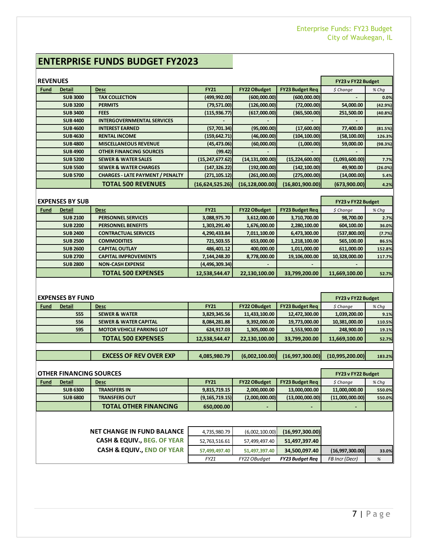# **ENTERPRISE FUNDS BUDGET FY2023**

| <b>REVENUES</b> |                 |                                         |                   |                     |                        | FY23 v FY22 Budget |         |
|-----------------|-----------------|-----------------------------------------|-------------------|---------------------|------------------------|--------------------|---------|
| <b>Fund</b>     | Detail          | <b>Desc</b>                             | <b>FY21</b>       | <b>FY22 OBudget</b> | <b>FY23 Budget Req</b> | $$$ Change         | $%$ Chq |
|                 | <b>SUB 3000</b> | <b>TAX COLLECTION</b>                   | (499, 992.00)     | (600,000.00)        | (600,000.00)           |                    | 0.0%    |
|                 | <b>SUB 3200</b> | <b>PERMITS</b>                          | (79, 571.00)      | (126,000.00)        | (72,000.00)            | 54,000.00          | (42.9%) |
|                 | <b>SUB 3400</b> | <b>FEES</b>                             | (115, 936.77)     | (617,000.00)        | (365,500.00)           | 251,500.00         | (40.8%) |
|                 | <b>SUB 4400</b> | <b>INTERGOVERNMENTAL SERVICES</b>       |                   |                     |                        |                    |         |
|                 | <b>SUB 4600</b> | <b>INTEREST EARNED</b>                  | (57, 701.34)      | (95,000.00)         | (17,600.00)            | 77,400.00          | (81.5%) |
|                 | <b>SUB 4630</b> | <b>RENTAL INCOME</b>                    | (159, 642.71)     | (46,000.00)         | (104, 100.00)          | (58, 100.00)       | 126.3%  |
|                 | <b>SUB 4800</b> | <b>MISCELLANEOUS REVENUE</b>            | (45, 473.06)      | (60,000.00)         | (1,000.00)             | 59,000.00          | (98.3%) |
|                 | <b>SUB 4900</b> | <b>OTHER FINANCING SOURCES</b>          | (99.42)           |                     |                        |                    |         |
|                 | <b>SUB 5200</b> | <b>SEWER &amp; WATER SALES</b>          | (15, 247, 677.62) | (14, 131, 000.00)   | (15, 224, 600.00)      | (1,093,600.00)     | 7.7%    |
|                 | <b>SUB 5500</b> | <b>SEWER &amp; WATER CHARGES</b>        | (147, 326.22)     | (192,000.00)        | (142, 100.00)          | 49,900.00          | (26.0%) |
|                 | <b>SUB 5700</b> | <b>CHARGES - LATE PAYMENT / PENALTY</b> | (271, 105.12)     | (261,000.00)        | (275,000.00)           | (14,000.00)        | 5.4%    |
|                 |                 | <b>TOTAL 500 REVENUES</b>               | (16,624,525.26)   | (16, 128, 000.00)   | (16,801,900.00)        | (673,900.00)       | 4.2%    |
|                 |                 |                                         |                   |                     |                        |                    |         |

| <b>EXPENSES BY SUB</b> |                 |                             |                |                     |                        | FY23 v FY22 Budget |         |
|------------------------|-----------------|-----------------------------|----------------|---------------------|------------------------|--------------------|---------|
| <b>Fund</b>            | Detail          | <b>Desc</b>                 | <b>FY21</b>    | <b>FY22 OBudget</b> | <b>FY23 Budget Req</b> | $$$ Change         | $%$ Chq |
|                        | <b>SUB 2100</b> | <b>PERSONNEL SERVICES</b>   | 3,088,975.70   | 3,612,000.00        | 3,710,700.00           | 98,700.00          | 2.7%    |
|                        | <b>SUB 2200</b> | <b>PERSONNEL BENEFITS</b>   | 1,303,291.40   | 1,676,000.00        | 2,280,100.00           | 604,100.00         | 36.0%   |
|                        | <b>SUB 2400</b> | <b>CONTRACTUAL SERVICES</b> | 4,290,433.84   | 7,011,100.00        | 6,473,300.00           | (537,800.00)       | (7.7%)  |
|                        | <b>SUB 2500</b> | <b>COMMODITIES</b>          | 721,503.55     | 653,000.00          | 1,218,100.00           | 565,100.00         | 86.5%   |
|                        | <b>SUB 2600</b> | <b>CAPITAL OUTLAY</b>       | 486,401.12     | 400,000.00          | 1,011,000.00           | 611,000.00         | 152.8%  |
|                        | <b>SUB 2700</b> | <b>CAPITAL IMPROVEMENTS</b> | 7,144,248.20   | 8,778,000.00        | 19,106,000.00          | 10,328,000.00      | 117.7%  |
|                        | <b>SUB 2800</b> | <b>NON-CASH EXPENSE</b>     | (4,496,309.34) |                     |                        |                    |         |
|                        |                 | <b>TOTAL 500 EXPENSES</b>   | 12,538,544.47  | 22,130,100.00       | 33,799,200.00          | 11,669,100.00      | 52.7%   |

|             | <b>EXPENSES BY FUND</b> | FY23 v FY22 Budget               |               |                     |                        |                 |         |
|-------------|-------------------------|----------------------------------|---------------|---------------------|------------------------|-----------------|---------|
| <b>Fund</b> | Detail                  | <b>Desc</b>                      | <b>FY21</b>   | <b>FY22 OBudget</b> | <b>FY23 Budget Req</b> | $$$ Change      | $%$ Chq |
|             | 555                     | <b>SEWER &amp; WATER</b>         | 3,829,345.56  | 11,433,100.00       | 12,472,300.00          | 1,039,200.00    | 9.1%    |
|             | 556                     | <b>SEWER &amp; WATER CAPITAL</b> | 8,084,281.88  | 9,392,000.00        | 19,773,000.00          | 10,381,000.00   | 110.5%  |
|             | 595                     | <b>MOTOR VEHICLE PARKING LOT</b> | 624,917.03    | 1,305,000.00        | 1,553,900.00           | 248,900.00      | 19.1%   |
|             |                         | <b>TOTAL 500 EXPENSES</b>        | 12,538,544.47 | 22,130,100.00       | 33,799,200.00          | 11,669,100.00   | 52.7%   |
|             |                         |                                  |               |                     |                        |                 |         |
|             |                         | <b>EXCESS OF REV OVER EXP</b>    | 4,085,980.79  | (6,002,100.00)      | (16,997,300.00)        | (10,995,200.00) | 183.2%  |

|             | <b>OTHER FINANCING SOURCES</b> |                              |                  |                          |                        |                 |         |  |
|-------------|--------------------------------|------------------------------|------------------|--------------------------|------------------------|-----------------|---------|--|
| <b>Fund</b> | <b>Detail</b>                  | Desc                         | <b>FY21</b>      | <b>FY22 OBudget</b>      | <b>FY23 Budget Rea</b> | \$ Chanae       | $%$ Chq |  |
|             | <b>SUB 6300</b>                | <b>TRANSFERS IN</b>          | 9,815,719.15     | 2,000,000.00             | 13,000,000.00          | 11,000,000.00   | 550.0%  |  |
|             | <b>SUB 6800</b>                | <b>TRANSFERS OUT</b>         | (9, 165, 719.15) | (2,000,000.00)           | (13,000,000,00)        | (11,000,000.00) | 550.0%  |  |
|             |                                | <b>TOTAL OTHER FINANCING</b> | 650.000.00       | $\overline{\phantom{0}}$ |                        |                 |         |  |

| <b>NET CHANGE IN FUND BALANCE</b>      | 4,735,980.79  | (6,002,100.00) | (16,997,300.00)        |                 |       |
|----------------------------------------|---------------|----------------|------------------------|-----------------|-------|
| <b>CASH &amp; EQUIV., BEG. OF YEAR</b> | 52,763,516.61 | 57,499,497.40  | 51,497,397.40          |                 |       |
| <b>CASH &amp; EQUIV., END OF YEAR</b>  | 57.499.497.40 | 51,497,397.40  | 34,500,097.40          | (16,997,300.00) | 33.0% |
|                                        | FY21          | FY22 OBudget   | <b>FY23 Budget Reg</b> | FB Incr (Decr)  | $\%$  |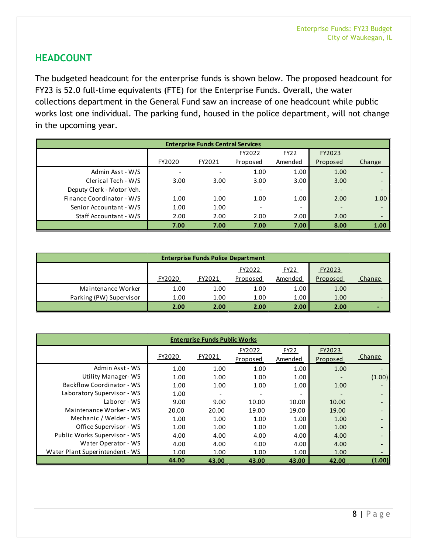# <span id="page-7-0"></span>**HEADCOUNT**

The budgeted headcount for the enterprise funds is shown below. The proposed headcount for FY23 is 52.0 full-time equivalents (FTE) for the Enterprise Funds. Overall, the water collections department in the General Fund saw an increase of one headcount while public works lost one individual. The parking fund, housed in the police department, will not change in the upcoming year.

| <b>Enterprise Funds Central Services</b> |                          |        |          |                          |          |        |  |  |  |
|------------------------------------------|--------------------------|--------|----------|--------------------------|----------|--------|--|--|--|
|                                          |                          |        | FY2022   | FY22                     | FY2023   |        |  |  |  |
|                                          | FY2020                   | FY2021 | Proposed | Amended                  | Proposed | Change |  |  |  |
| Admin Asst - W/S                         |                          |        | 1.00     | 1.00                     | 1.00     |        |  |  |  |
| Clerical Tech - W/S                      | 3.00                     | 3.00   | 3.00     | 3.00                     | 3.00     |        |  |  |  |
| Deputy Clerk - Motor Veh.                | $\overline{\phantom{0}}$ |        |          | $\overline{\phantom{0}}$ |          |        |  |  |  |
| Finance Coordinator - W/S                | 1.00                     | 1.00   | 1.00     | 1.00                     | 2.00     | 1.00   |  |  |  |
| Senior Accountant - W/S                  | 1.00                     | 1.00   |          | -                        |          |        |  |  |  |
| Staff Accountant - W/S                   | 2.00                     | 2.00   | 2.00     | 2.00                     | 2.00     |        |  |  |  |
|                                          | 7.00                     | 7.00   | 7.00     | 7.00                     | 8.00     | 1.00   |  |  |  |

| <b>Enterprise Funds Police Department</b> |        |        |                    |                   |                    |        |  |  |  |  |
|-------------------------------------------|--------|--------|--------------------|-------------------|--------------------|--------|--|--|--|--|
|                                           | FY2020 | FY2021 | FY2022<br>Proposed | FY22<br>Amended   | FY2023<br>Proposed | Change |  |  |  |  |
| Maintenance Worker                        | 1.00   | 1.00   | 1.00               | 1.00              | 1.00               |        |  |  |  |  |
| Parking (PW) Supervisor                   | 1.00   | 1.00   | 1.00               | 1.00 <sub>1</sub> | 1.00               |        |  |  |  |  |
|                                           | 2.00   | 2.00   | 2.00               | 2.00              | 2.00               |        |  |  |  |  |

| <b>Enterprise Funds Public Works</b> |        |        |          |             |          |                          |  |  |  |  |
|--------------------------------------|--------|--------|----------|-------------|----------|--------------------------|--|--|--|--|
|                                      |        |        | FY2022   | <b>FY22</b> | FY2023   |                          |  |  |  |  |
|                                      | FY2020 | FY2021 | Proposed | Amended     | Proposed | <b>Change</b>            |  |  |  |  |
| Admin Asst - WS                      | 1.00   | 1.00   | 1.00     | 1.00        | 1.00     |                          |  |  |  |  |
| Utility Manager-WS                   | 1.00   | 1.00   | 1.00     | 1.00        |          | (1.00)                   |  |  |  |  |
| Backflow Coordinator - WS            | 1.00   | 1.00   | 1.00     | 1.00        | 1.00     | $\overline{\phantom{a}}$ |  |  |  |  |
| Laboratory Supervisor - WS           | 1.00   |        |          |             |          |                          |  |  |  |  |
| Laborer - WS                         | 9.00   | 9.00   | 10.00    | 10.00       | 10.00    |                          |  |  |  |  |
| Maintenance Worker - WS              | 20.00  | 20.00  | 19.00    | 19.00       | 19.00    |                          |  |  |  |  |
| Mechanic / Welder - WS               | 1.00   | 1.00   | 1.00     | 1.00        | 1.00     |                          |  |  |  |  |
| Office Supervisor - WS               | 1.00   | 1.00   | 1.00     | 1.00        | 1.00     |                          |  |  |  |  |
| Public Works Supervisor - WS         | 4.00   | 4.00   | 4.00     | 4.00        | 4.00     |                          |  |  |  |  |
| Water Operator - WS                  | 4.00   | 4.00   | 4.00     | 4.00        | 4.00     |                          |  |  |  |  |
| Water Plant Superintendent - WS      | 1.00   | 1.00   | 1.00     | 1.00        | 1.00     |                          |  |  |  |  |
|                                      | 44.00  | 43.00  | 43.00    | 43.00       | 42.00    | (1.00)                   |  |  |  |  |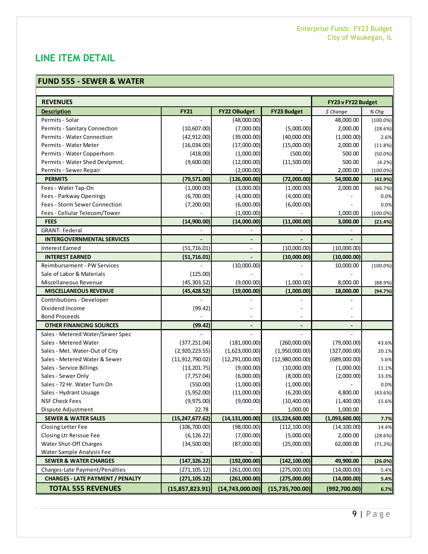# <span id="page-8-0"></span>**LINE ITEM DETAIL**

#### **FUND 555 - SEWER & WATER**

| <b>REVENUES</b>                         |                   |                          |                          | FY23 v FY22 Budget |             |
|-----------------------------------------|-------------------|--------------------------|--------------------------|--------------------|-------------|
| <b>Description</b>                      | <b>FY21</b>       | <b>FY22 OBudget</b>      | <b>FY23 Budget</b>       | \$ Change          | % Chq       |
| Permits - Solar                         |                   | (48,000.00)              |                          | 48,000.00          | $(100.0\%)$ |
| Permits - Sanitary Connection           | (10,607.00)       | (7,000.00)               | (5,000.00)               | 2,000.00           | (28.6%)     |
| Permits - Water Connection              | (42, 912.00)      | (39,000.00)              | (40,000.00)              | (1,000.00)         | 2.6%        |
| Permits - Water Meter                   | (16,034.00)       | (17,000.00)              | (15,000.00)              | 2,000.00           | (11.8%)     |
| Permits - Water Copperhorn              | (418.00)          | (1,000.00)               | (500.00)                 | 500.00             | $(50.0\%)$  |
| Permits - Water Shed Devlpmnt.          | (9,600.00)        | (12,000.00)              | (11,500.00)              | 500.00             | (4.2%)      |
| Permits - Sewer Repair                  |                   | (2,000.00)               |                          | 2,000.00           | $(100.0\%)$ |
| <b>PERMITS</b>                          | (79, 571.00)      | (126,000.00)             | (72,000.00)              | 54,000.00          | (42.9%)     |
| Fees - Water Tap-On                     | (1,000.00)        | (3,000.00)               | (1,000.00)               | 2,000.00           | (66.7%)     |
| Fees - Parkway Openings                 | (6,700.00)        | (4,000.00)               | (4,000.00)               |                    | 0.0%        |
| Fees - Storm Sewer Connection           | (7,200.00)        | (6,000.00)               | (6,000.00)               |                    | 0.0%        |
| Fees - Cellular Telecom/Tower           |                   | (1,000.00)               |                          | 1,000.00           | $(100.0\%)$ |
| <b>FEES</b>                             | (14,900.00)       | (14,000.00)              | (11,000.00)              | 3,000.00           | (21.4%)     |
| <b>GRANT-Federal</b>                    |                   |                          |                          |                    |             |
| <b>INTERGOVERNMENTAL SERVICES</b>       |                   | $\overline{\phantom{a}}$ |                          |                    |             |
| <b>Interest Earned</b>                  | (51, 716.01)      |                          | (10,000.00)              | (10,000.00)        |             |
| <b>INTEREST EARNED</b>                  | (51, 716.01)      |                          | (10,000.00)              | (10,000.00)        |             |
| Reimbursement - PW Services             |                   | (10,000.00)              |                          | 10,000.00          | $(100.0\%)$ |
| Sale of Labor & Materials               | (125.00)          |                          |                          |                    |             |
| Miscellaneous Revenue                   | (45, 303.52)      | (9,000.00)               | (1,000.00)               | 8,000.00           | (88.9%)     |
| <b>MISCELLANEOUS REVENUE</b>            | (45, 428.52)      | (19,000.00)              | (1,000.00)               | 18,000.00          | (94.7%)     |
| Contributions - Developer               |                   |                          |                          |                    |             |
| Dividend Income                         | (99.42)           |                          |                          |                    |             |
| <b>Bond Proceeds</b>                    |                   |                          |                          |                    |             |
| <b>OTHER FINANCING SOURCES</b>          | (99.42)           | ٠                        | $\overline{\phantom{a}}$ | ٠                  |             |
| Sales - Metered Water/Sewer Spec        |                   |                          |                          |                    |             |
| Sales - Metered Water                   | (377, 251.04)     | (181,000.00)             | (260,000.00)             | (79,000.00)        | 43.6%       |
| Sales - Met. Water-Out of City          | (2,920,223.55)    | (1,623,000.00)           | (1,950,000.00)           | (327,000.00)       | 20.1%       |
| Sales - Metered Water & Sewer           | (11, 912, 790.02) | (12, 291, 000.00)        | (12,980,000.00)          | (689,000.00)       | 5.6%        |
| Sales - Service Billings                | (13, 201.75)      | (9,000.00)               | (10,000.00)              | (1,000.00)         | 11.1%       |
| Sales - Sewer Only                      | (7, 757.04)       | (6,000.00)               | (8,000.00)               | (2,000.00)         | 33.3%       |
| Sales - 72 Hr. Water Turn On            | (550.00)          | (1,000.00)               | (1,000.00)               |                    | 0.0%        |
| Sales - Hydrant Usuage                  | (5,952.00)        | (11,000.00)              | (6, 200.00)              | 4,800.00           | (43.6%)     |
| <b>NSF Check Fees</b>                   | (9,975.00)        | (9,000.00)               | (10,400.00)              | (1,400.00)         | 15.6%       |
| Dispute Adjustment                      | 22.78             |                          | 1,000.00                 | 1,000.00           |             |
| <b>SEWER &amp; WATER SALES</b>          | (15, 247, 677.62) | (14, 131, 000.00)        | (15, 224, 600.00)        | (1,093,600.00)     | 7.7%        |
| <b>Closing Letter Fee</b>               | (106, 700.00)     | (98,000.00)              | (112, 100.00)            | (14, 100.00)       | 14.4%       |
| Closing Ltr Reissue Fee                 | (6, 126.22)       | (7,000.00)               | (5,000.00)               | 2,000.00           | (28.6%)     |
| Water Shut-Off Charges                  | (34,500.00)       | (87,000.00)              | (25,000.00)              | 62,000.00          | (71.3%)     |
| Water Sample Analysis Fee               |                   |                          |                          |                    |             |
| <b>SEWER &amp; WATER CHARGES</b>        | (147,326.22)      | (192,000.00)             | (142, 100.00)            | 49,900.00          | (26.0%)     |
| Charges-Late Payment/Penalties          | (271, 105.12)     | (261,000.00)             | (275,000.00)             | (14,000.00)        | 5.4%        |
| <b>CHARGES - LATE PAYMENT / PENALTY</b> | (271, 105.12)     | (261,000.00)             | (275,000.00)             | (14,000.00)        | 5.4%        |
| <b>TOTAL 555 REVENUES</b>               | (15, 857, 823.91) | (14, 743, 000.00)        | (15, 735, 700.00)        | (992, 700.00)      | 6.7%        |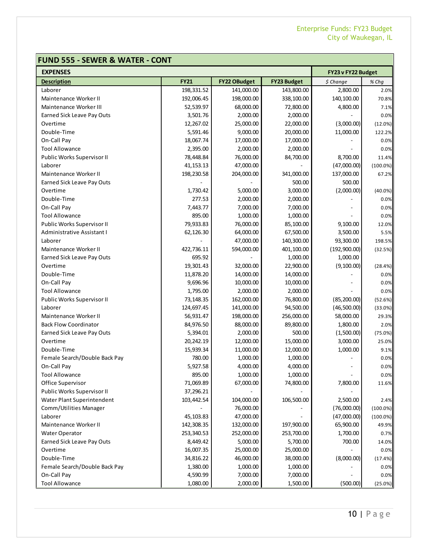# **FUND 555 - SEWER & WATER - CONT**

| <b>EXPENSES</b>               | FY23 v FY22 Budget |              |                    |              |             |
|-------------------------------|--------------------|--------------|--------------------|--------------|-------------|
| <b>Description</b>            | <b>FY21</b>        | FY22 OBudget | <b>FY23 Budget</b> | \$ Change    | % Chg       |
| Laborer                       | 198,331.52         | 141,000.00   | 143,800.00         | 2,800.00     | 2.0%        |
| Maintenance Worker II         | 192,006.45         | 198,000.00   | 338,100.00         | 140,100.00   | 70.8%       |
| <b>Maintenance Worker III</b> | 52,539.97          | 68,000.00    | 72,800.00          | 4,800.00     | 7.1%        |
| Earned Sick Leave Pay Outs    | 3,501.76           | 2,000.00     | 2,000.00           |              | 0.0%        |
| Overtime                      | 12,267.02          | 25,000.00    | 22,000.00          | (3,000.00)   | (12.0%)     |
| Double-Time                   | 5,591.46           | 9,000.00     | 20,000.00          | 11,000.00    | 122.2%      |
| On-Call Pay                   | 18,067.74          | 17,000.00    | 17,000.00          |              | 0.0%        |
| <b>Tool Allowance</b>         | 2,395.00           | 2,000.00     | 2,000.00           |              | 0.0%        |
| Public Works Supervisor II    | 78,448.84          | 76,000.00    | 84,700.00          | 8,700.00     | 11.4%       |
| Laborer                       | 41, 153. 13        | 47,000.00    |                    | (47,000.00)  | $(100.0\%)$ |
| Maintenance Worker II         | 198,230.58         | 204,000.00   | 341,000.00         | 137,000.00   | 67.2%       |
| Earned Sick Leave Pay Outs    |                    |              | 500.00             | 500.00       |             |
| Overtime                      | 1,730.42           | 5,000.00     | 3,000.00           | (2,000.00)   | (40.0%)     |
| Double-Time                   | 277.53             | 2,000.00     | 2,000.00           |              | 0.0%        |
| On-Call Pay                   | 7,443.77           | 7,000.00     | 7,000.00           |              | 0.0%        |
| <b>Tool Allowance</b>         | 895.00             | 1,000.00     | 1,000.00           |              | 0.0%        |
| Public Works Supervisor II    | 79,933.83          | 76,000.00    | 85,100.00          | 9,100.00     | 12.0%       |
| Administrative Assistant I    | 62,126.30          | 64,000.00    | 67,500.00          | 3,500.00     | 5.5%        |
| Laborer                       |                    | 47,000.00    | 140,300.00         | 93,300.00    | 198.5%      |
| Maintenance Worker II         | 422,736.11         | 594,000.00   | 401,100.00         | (192,900.00) | (32.5%)     |
| Earned Sick Leave Pay Outs    | 695.92             |              | 1,000.00           | 1,000.00     |             |
| Overtime                      | 19,301.43          | 32,000.00    | 22,900.00          | (9,100.00)   | (28.4%)     |
| Double-Time                   | 11,878.20          | 14,000.00    | 14,000.00          |              | 0.0%        |
| On-Call Pay                   | 9,696.96           | 10,000.00    | 10,000.00          |              | 0.0%        |
| <b>Tool Allowance</b>         | 1,795.00           | 2,000.00     | 2,000.00           |              | 0.0%        |
| Public Works Supervisor II    | 73,148.35          | 162,000.00   | 76,800.00          | (85, 200.00) | (52.6%)     |
| Laborer                       | 124,697.45         | 141,000.00   | 94,500.00          | (46,500.00)  | (33.0%)     |
| Maintenance Worker II         | 56,931.47          | 198,000.00   | 256,000.00         | 58,000.00    | 29.3%       |
| <b>Back Flow Coordinator</b>  | 84,976.50          | 88,000.00    | 89,800.00          | 1,800.00     | 2.0%        |
| Earned Sick Leave Pay Outs    | 5,394.01           | 2,000.00     | 500.00             | (1,500.00)   | (75.0%)     |
| Overtime                      | 20,242.19          | 12,000.00    | 15,000.00          | 3,000.00     | 25.0%       |
| Double-Time                   | 15,939.34          | 11,000.00    | 12,000.00          | 1,000.00     | 9.1%        |
| Female Search/Double Back Pay | 780.00             | 1,000.00     | 1,000.00           |              | 0.0%        |
| On-Call Pay                   | 5,927.58           | 4,000.00     | 4,000.00           |              | 0.0%        |
| <b>Tool Allowance</b>         | 895.00             | 1,000.00     | 1,000.00           | ٠            | 0.0%        |
| Office Supervisor             | 71,069.89          | 67,000.00    | 74,800.00          | 7,800.00     | 11.6%       |
| Public Works Supervisor II    | 37,296.21          |              |                    |              |             |
| Water Plant Superintendent    | 103,442.54         | 104,000.00   | 106,500.00         | 2,500.00     | 2.4%        |
| Comm/Utilities Manager        |                    | 76,000.00    |                    | (76,000.00)  | $(100.0\%)$ |
| Laborer                       | 45,103.83          | 47,000.00    |                    | (47,000.00)  | $(100.0\%)$ |
| Maintenance Worker II         | 142,308.35         | 132,000.00   | 197,900.00         | 65,900.00    | 49.9%       |
| <b>Water Operator</b>         | 253,340.53         | 252,000.00   | 253,700.00         | 1,700.00     | 0.7%        |
| Earned Sick Leave Pay Outs    | 8,449.42           | 5,000.00     | 5,700.00           | 700.00       | 14.0%       |
| Overtime                      | 16,007.35          | 25,000.00    | 25,000.00          |              | 0.0%        |
| Double-Time                   | 34,816.22          | 46,000.00    | 38,000.00          | (8,000.00)   | (17.4%)     |
| Female Search/Double Back Pay | 1,380.00           | 1,000.00     | 1,000.00           |              | 0.0%        |
| On-Call Pay                   | 4,590.99           | 7,000.00     | 7,000.00           |              | 0.0%        |
| <b>Tool Allowance</b>         | 1,080.00           | 2,000.00     | 1,500.00           | (500.00)     | (25.0%)     |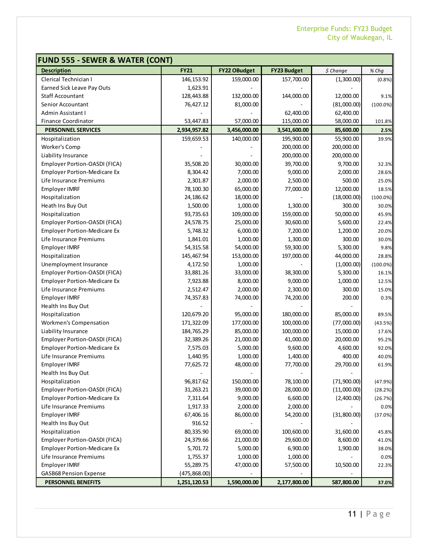| <b>FUND 555 - SEWER &amp; WATER (CONT)</b> |              |                     |                    |             |             |
|--------------------------------------------|--------------|---------------------|--------------------|-------------|-------------|
| <b>Description</b>                         | <b>FY21</b>  | <b>FY22 OBudget</b> | <b>FY23 Budget</b> | \$ Change   | % Chg       |
| Clerical Technician I                      | 146,153.92   | 159,000.00          | 157,700.00         | (1,300.00)  | (0.8% )     |
| Earned Sick Leave Pay Outs                 | 1,623.91     |                     |                    |             |             |
| <b>Staff Accountant</b>                    | 128,443.88   | 132,000.00          | 144,000.00         | 12,000.00   | 9.1%        |
| Senior Accountant                          | 76,427.12    | 81,000.00           |                    | (81,000.00) | $(100.0\%)$ |
| Admin Assistant I                          |              |                     | 62,400.00          | 62,400.00   |             |
| <b>Finance Coordinator</b>                 | 53,447.83    | 57,000.00           | 115,000.00         | 58,000.00   | 101.8%      |
| <b>PERSONNEL SERVICES</b>                  | 2,934,957.82 | 3,456,000.00        | 3,541,600.00       | 85,600.00   | 2.5%        |
| Hospitalization                            | 159,659.53   | 140,000.00          | 195,900.00         | 55,900.00   | 39.9%       |
| Worker's Comp                              |              |                     | 200,000.00         | 200,000.00  |             |
| Liability Insurance                        |              |                     | 200,000.00         | 200,000.00  |             |
| Employer Portion-OASDI (FICA)              | 35,508.20    | 30,000.00           | 39,700.00          | 9,700.00    | 32.3%       |
| <b>Employer Portion-Medicare Ex</b>        | 8,304.42     | 7,000.00            | 9,000.00           | 2,000.00    | 28.6%       |
| Life Insurance Premiums                    | 2,301.87     | 2,000.00            | 2,500.00           | 500.00      | 25.0%       |
| <b>Employer IMRF</b>                       | 78,100.30    | 65,000.00           | 77,000.00          | 12,000.00   | 18.5%       |
| Hospitalization                            | 24,186.62    | 18,000.00           |                    | (18,000.00) | $(100.0\%)$ |
| Heath Ins Buy Out                          | 1,500.00     | 1,000.00            | 1,300.00           | 300.00      | 30.0%       |
| Hospitalization                            | 93,735.63    | 109,000.00          | 159,000.00         | 50,000.00   | 45.9%       |
| Employer Portion-OASDI (FICA)              | 24,578.75    | 25,000.00           | 30,600.00          | 5,600.00    | 22.4%       |
| <b>Employer Portion-Medicare Ex</b>        | 5,748.32     | 6,000.00            | 7,200.00           | 1,200.00    | 20.0%       |
| Life Insurance Premiums                    | 1,841.01     | 1,000.00            | 1,300.00           | 300.00      | 30.0%       |
| <b>Employer IMRF</b>                       | 54,315.58    | 54,000.00           | 59,300.00          | 5,300.00    | 9.8%        |
| Hospitalization                            | 145,467.94   | 153,000.00          | 197,000.00         | 44,000.00   | 28.8%       |
| Unemployment Insurance                     | 4,172.50     | 1,000.00            |                    | (1,000.00)  | $(100.0\%)$ |
| Employer Portion-OASDI (FICA)              | 33,881.26    | 33,000.00           | 38,300.00          | 5,300.00    | 16.1%       |
| <b>Employer Portion-Medicare Ex</b>        | 7,923.88     | 8,000.00            | 9,000.00           | 1,000.00    | 12.5%       |
| Life Insurance Premiums                    | 2,512.47     | 2,000.00            | 2,300.00           | 300.00      | 15.0%       |
| <b>Employer IMRF</b>                       | 74,357.83    | 74,000.00           | 74,200.00          | 200.00      | 0.3%        |
| Health Ins Buy Out                         |              |                     |                    |             |             |
| Hospitalization                            | 120,679.20   | 95,000.00           | 180,000.00         | 85,000.00   | 89.5%       |
| Workmen's Compensation                     | 171,322.09   | 177,000.00          | 100,000.00         | (77,000.00) | (43.5%)     |
| Liability Insurance                        | 184,765.29   | 85,000.00           | 100,000.00         | 15,000.00   | 17.6%       |
| Employer Portion-OASDI (FICA)              | 32,389.26    | 21,000.00           | 41,000.00          | 20,000.00   | 95.2%       |
| <b>Employer Portion-Medicare Ex</b>        | 7,575.03     | 5,000.00            | 9,600.00           | 4,600.00    | 92.0%       |
| Life Insurance Premiums                    | 1,440.95     | 1,000.00            | 1,400.00           | 400.00      | 40.0%       |
| <b>Employer IMRF</b>                       | 77,625.72    | 48,000.00           | 77,700.00          | 29,700.00   | 61.9%       |
| Health Ins Buy Out                         |              |                     |                    |             |             |
| Hospitalization                            | 96,817.62    | 150,000.00          | 78,100.00          | (71,900.00) | (47.9%)     |
| Employer Portion-OASDI (FICA)              | 31,263.21    | 39,000.00           | 28,000.00          | (11,000.00) | (28.2%)     |
| <b>Employer Portion-Medicare Ex</b>        | 7,311.64     | 9,000.00            | 6,600.00           | (2,400.00)  | (26.7%)     |
| Life Insurance Premiums                    | 1,917.33     | 2,000.00            | 2,000.00           |             | 0.0%        |
| <b>Employer IMRF</b>                       | 67,406.16    | 86,000.00           | 54,200.00          | (31,800.00) | (37.0%)     |
| Health Ins Buy Out                         | 916.52       |                     |                    |             |             |
| Hospitalization                            | 80,335.90    | 69,000.00           | 100,600.00         | 31,600.00   | 45.8%       |
| Employer Portion-OASDI (FICA)              | 24,379.66    | 21,000.00           | 29,600.00          | 8,600.00    | 41.0%       |
| <b>Employer Portion-Medicare Ex</b>        | 5,701.72     | 5,000.00            | 6,900.00           | 1,900.00    | 38.0%       |
| Life Insurance Premiums                    | 1,755.37     | 1,000.00            | 1,000.00           |             | 0.0%        |
| <b>Employer IMRF</b>                       | 55,289.75    | 47,000.00           | 57,500.00          | 10,500.00   | 22.3%       |
| <b>GASB68 Pension Expense</b>              | (475,868.00) |                     |                    |             |             |
| PERSONNEL BENEFITS                         | 1,251,120.53 | 1,590,000.00        | 2,177,800.00       | 587,800.00  | 37.0%       |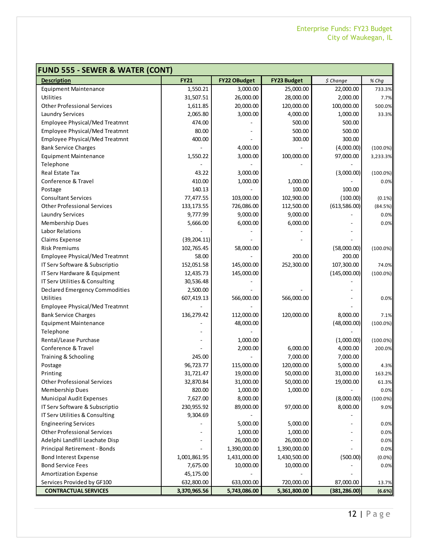| <b>FUND 555 - SEWER &amp; WATER (CONT)</b> |              |                     |                    |               |             |
|--------------------------------------------|--------------|---------------------|--------------------|---------------|-------------|
| <b>Description</b>                         | <b>FY21</b>  | <b>FY22 OBudget</b> | <b>FY23 Budget</b> | \$ Change     | % Chg       |
| <b>Equipment Maintenance</b>               | 1,550.21     | 3,000.00            | 25,000.00          | 22,000.00     | 733.3%      |
| Utilities                                  | 31,507.51    | 26,000.00           | 28,000.00          | 2,000.00      | 7.7%        |
| <b>Other Professional Services</b>         | 1,611.85     | 20,000.00           | 120,000.00         | 100,000.00    | 500.0%      |
| Laundry Services                           | 2,065.80     | 3,000.00            | 4,000.00           | 1,000.00      | 33.3%       |
| <b>Employee Physical/Med Treatmnt</b>      | 474.00       |                     | 500.00             | 500.00        |             |
| <b>Employee Physical/Med Treatmnt</b>      | 80.00        |                     | 500.00             | 500.00        |             |
| <b>Employee Physical/Med Treatmnt</b>      | 400.00       |                     | 300.00             | 300.00        |             |
| <b>Bank Service Charges</b>                |              | 4,000.00            |                    | (4,000.00)    | $(100.0\%)$ |
| <b>Equipment Maintenance</b>               | 1,550.22     | 3,000.00            | 100,000.00         | 97,000.00     | 3,233.3%    |
| Telephone                                  |              |                     |                    |               |             |
| Real Estate Tax                            | 43.22        | 3,000.00            |                    | (3,000.00)    | $(100.0\%)$ |
| Conference & Travel                        | 410.00       | 1,000.00            | 1,000.00           |               | 0.0%        |
| Postage                                    | 140.13       |                     | 100.00             | 100.00        |             |
| <b>Consultant Services</b>                 | 77,477.55    | 103,000.00          | 102,900.00         | (100.00)      | $(0.1\%)$   |
| <b>Other Professional Services</b>         | 133, 173.55  | 726,086.00          | 112,500.00         | (613,586.00)  | (84.5%)     |
| Laundry Services                           | 9,777.99     | 9,000.00            | 9,000.00           |               | 0.0%        |
| Membership Dues                            | 5,666.00     | 6,000.00            | 6,000.00           |               | 0.0%        |
| <b>Labor Relations</b>                     |              |                     |                    |               |             |
| Claims Expense                             | (39, 204.11) |                     |                    |               |             |
| <b>Risk Premiums</b>                       | 102,765.45   | 58,000.00           |                    | (58,000.00)   | $(100.0\%)$ |
| <b>Employee Physical/Med Treatmnt</b>      | 58.00        |                     | 200.00             | 200.00        |             |
| IT Serv Software & Subscriptio             | 152,051.58   | 145,000.00          | 252,300.00         | 107,300.00    | 74.0%       |
| IT Serv Hardware & Equipment               | 12,435.73    | 145,000.00          |                    | (145,000.00)  | $(100.0\%)$ |
| IT Serv Utilities & Consulting             | 30,536.48    |                     |                    |               |             |
| <b>Declared Emergency Commodities</b>      | 2,500.00     |                     |                    |               |             |
| <b>Utilities</b>                           | 607,419.13   | 566,000.00          | 566,000.00         |               | 0.0%        |
| <b>Employee Physical/Med Treatmnt</b>      |              |                     |                    |               |             |
| <b>Bank Service Charges</b>                | 136,279.42   | 112,000.00          | 120,000.00         | 8,000.00      | 7.1%        |
| <b>Equipment Maintenance</b>               |              | 48,000.00           |                    | (48,000.00)   | $(100.0\%)$ |
| Telephone                                  |              |                     |                    |               |             |
| Rental/Lease Purchase                      |              | 1,000.00            |                    | (1,000.00)    | $(100.0\%)$ |
| Conference & Travel                        |              | 2,000.00            | 6,000.00           | 4,000.00      | 200.0%      |
| Training & Schooling                       | 245.00       |                     | 7,000.00           | 7,000.00      |             |
| Postage                                    | 96,723.77    | 115,000.00          | 120,000.00         | 5,000.00      | 4.3%        |
| Printing                                   | 31,721.47    | 19,000.00           | 50,000.00          | 31,000.00     | 163.2%      |
| <b>Other Professional Services</b>         | 32,870.84    | 31,000.00           | 50,000.00          | 19,000.00     | 61.3%       |
| Membership Dues                            | 820.00       | 1,000.00            | 1,000.00           |               | 0.0%        |
| Municipal Audit Expenses                   | 7,627.00     | 8,000.00            |                    | (8,000.00)    | $(100.0\%)$ |
| IT Serv Software & Subscriptio             | 230,955.92   | 89,000.00           | 97,000.00          | 8,000.00      | 9.0%        |
| IT Serv Utilities & Consulting             | 9,304.69     |                     |                    |               |             |
| <b>Engineering Services</b>                |              | 5,000.00            | 5,000.00           |               | 0.0%        |
| <b>Other Professional Services</b>         |              | 1,000.00            | 1,000.00           |               | 0.0%        |
| Adelphi Landfill Leachate Disp             |              | 26,000.00           | 26,000.00          |               | 0.0%        |
| Principal Retirement - Bonds               |              | 1,390,000.00        | 1,390,000.00       |               | 0.0%        |
| <b>Bond Interest Expense</b>               | 1,001,861.95 | 1,431,000.00        | 1,430,500.00       | (500.00)      | (0.0%       |
| <b>Bond Service Fees</b>                   | 7,675.00     | 10,000.00           | 10,000.00          |               | 0.0%        |
| <b>Amortization Expense</b>                | 45,175.00    |                     |                    |               |             |
| Services Provided by GF100                 | 632,800.00   | 633,000.00          | 720,000.00         | 87,000.00     | 13.7%       |
| <b>CONTRACTUAL SERVICES</b>                | 3,370,965.56 | 5,743,086.00        | 5,361,800.00       | (381, 286.00) | (6.6%)      |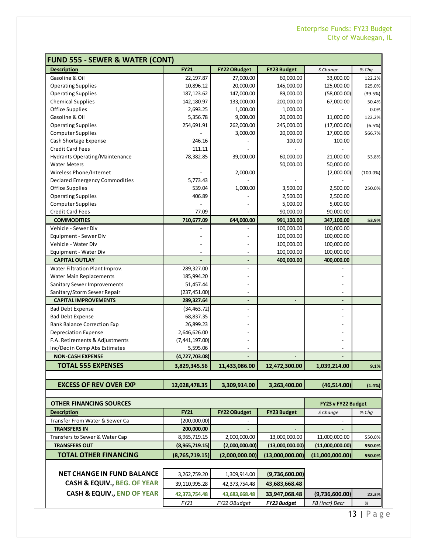| <b>FUND 555 - SEWER &amp; WATER (CONT)</b> |                |                     |                    |                    |             |
|--------------------------------------------|----------------|---------------------|--------------------|--------------------|-------------|
| <b>Description</b>                         | <b>FY21</b>    | <b>FY22 OBudget</b> | <b>FY23 Budget</b> | \$ Change          | % Chq       |
| Gasoline & Oil                             | 22,197.87      | 27,000.00           | 60,000.00          | 33,000.00          | 122.2%      |
| <b>Operating Supplies</b>                  | 10,896.12      | 20,000.00           | 145,000.00         | 125,000.00         | 625.0%      |
| <b>Operating Supplies</b>                  | 187, 123.62    | 147,000.00          | 89,000.00          | (58,000.00)        | (39.5%)     |
| <b>Chemical Supplies</b>                   | 142,180.97     | 133,000.00          | 200,000.00         | 67,000.00          | 50.4%       |
| <b>Office Supplies</b>                     | 2,693.25       | 1,000.00            | 1,000.00           |                    | 0.0%        |
| Gasoline & Oil                             | 5,356.78       | 9,000.00            | 20,000.00          | 11,000.00          | 122.2%      |
| <b>Operating Supplies</b>                  | 254,691.91     | 262,000.00          | 245,000.00         | (17,000.00)        | (6.5%)      |
| <b>Computer Supplies</b>                   |                | 3,000.00            | 20,000.00          | 17,000.00          | 566.7%      |
| Cash Shortage Expense                      | 246.16         |                     | 100.00             | 100.00             |             |
| <b>Credit Card Fees</b>                    | 111.11         |                     |                    |                    |             |
| Hydrants Operating/Maintenance             | 78,382.85      | 39,000.00           | 60,000.00          | 21,000.00          | 53.8%       |
| <b>Water Meters</b>                        |                |                     | 50,000.00          | 50,000.00          |             |
| Wireless Phone/Internet                    |                | 2,000.00            |                    | (2,000.00)         | $(100.0\%)$ |
| Declared Emergency Commodities             | 5,773.43       |                     |                    |                    |             |
| <b>Office Supplies</b>                     | 539.04         | 1,000.00            | 3,500.00           | 2,500.00           | 250.0%      |
| <b>Operating Supplies</b>                  | 406.89         |                     | 2,500.00           | 2,500.00           |             |
| <b>Computer Supplies</b>                   |                |                     | 5,000.00           | 5,000.00           |             |
| Credit Card Fees                           | 77.09          |                     | 90,000.00          | 90,000.00          |             |
| <b>COMMODITIES</b>                         | 710,677.09     | 644,000.00          | 991,100.00         | 347,100.00         | 53.9%       |
| Vehicle - Sewer Div                        |                |                     | 100,000.00         | 100,000.00         |             |
| Equipment - Sewer Div                      |                |                     | 100,000.00         | 100,000.00         |             |
| Vehicle - Water Div                        |                |                     | 100,000.00         | 100,000.00         |             |
| Equipment - Water Div                      |                |                     | 100,000.00         | 100,000.00         |             |
| <b>CAPITAL OUTLAY</b>                      |                |                     | 400,000.00         | 400,000.00         |             |
| Water Filtration Plant Improv.             | 289,327.00     |                     |                    |                    |             |
| Water Main Replacements                    | 185,994.20     |                     |                    |                    |             |
| Sanitary Sewer Improvements                | 51,457.44      |                     |                    |                    |             |
| Sanitary/Storm Sewer Repair                | (237, 451.00)  |                     |                    |                    |             |
| <b>CAPITAL IMPROVEMENTS</b>                | 289,327.64     |                     |                    |                    |             |
| <b>Bad Debt Expense</b>                    | (34, 463.72)   |                     |                    |                    |             |
| <b>Bad Debt Expense</b>                    | 68,837.35      |                     |                    |                    |             |
| <b>Bank Balance Correction Exp</b>         | 26,899.23      |                     |                    |                    |             |
| <b>Depreciation Expense</b>                | 2,646,626.00   |                     |                    |                    |             |
| F.A. Retirements & Adjustments             | (7,441,197.00) |                     |                    |                    |             |
| Inc/Dec in Comp Abs Estimates              | 5,595.06       |                     |                    |                    |             |
| <b>NON-CASH EXPENSE</b>                    | (4,727,703.08) |                     |                    |                    |             |
| <b>TOTAL 555 EXPENSES</b>                  | 3,829,345.56   | 11,433,086.00       | 12,472,300.00      | 1,039,214.00       | 9.1%        |
|                                            |                |                     |                    |                    |             |
| <b>EXCESS OF REV OVER EXP</b>              | 12,028,478.35  | 3,309,914.00        | 3,263,400.00       | (46,514.00)        | (1.4%)      |
|                                            |                |                     |                    |                    |             |
| <b>OTHER FINANCING SOURCES</b>             |                |                     |                    | FY23 v FY22 Budget |             |
| <b>Description</b>                         | <b>FY21</b>    | <b>FY22 OBudget</b> | <b>FY23 Budget</b> | \$ Change          | % Chq       |
| Transfer From Water & Sewer Ca             | (200,000.00)   |                     |                    |                    |             |
| <b>TRANSFERS IN</b>                        | 200,000.00     |                     |                    |                    |             |
| Transfers to Sewer & Water Cap             | 8,965,719.15   | 2,000,000.00        | 13,000,000.00      | 11,000,000.00      | 550.0%      |
| <b>TRANSFERS OUT</b>                       | (8,965,719.15) | (2,000,000.00)      | (13,000,000.00)    | (11,000,000.00)    | 550.0%      |
| <b>TOTAL OTHER FINANCING</b>               | (8,765,719.15) | (2,000,000.00)      | (13,000,000.00)    | (11,000,000.00)    | 550.0%      |
|                                            |                |                     |                    |                    |             |
| <b>NET CHANGE IN FUND BALANCE</b>          |                |                     |                    |                    |             |
|                                            | 3,262,759.20   | 1,309,914.00        | (9,736,600.00)     |                    |             |
| CASH & EQUIV., BEG. OF YEAR                | 39,110,995.28  | 42,373,754.48       | 43,683,668.48      |                    |             |
| <b>CASH &amp; EQUIV., END OF YEAR</b>      | 42,373,754.48  | 43,683,668.48       | 33,947,068.48      | (9,736,600.00)     | 22.3%       |
|                                            | FY21           | FY22 OBudget        | FY23 Budget        | FB (Incr) Decr     | $\%$        |

13 | Page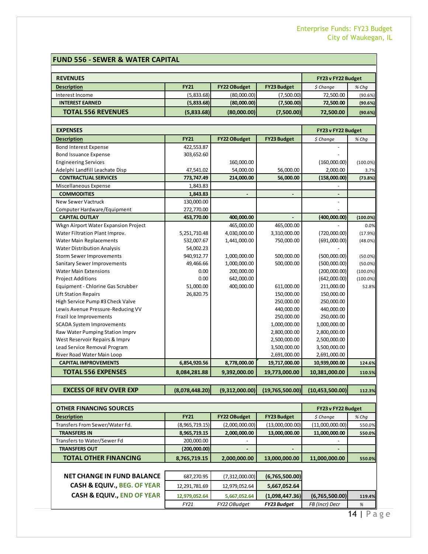#### **FUND 556 - SEWER & WATER CAPITAL**

| <b>REVENUES</b>           |             |                     |                    | FY23 v FY22 Budget |         |
|---------------------------|-------------|---------------------|--------------------|--------------------|---------|
| <b>Description</b>        | <b>FY21</b> | <b>FY22 OBudget</b> | <b>FY23 Budget</b> | $$$ Change         | % Chq   |
| Interest Income           | (5,833.68)  | (80,000.00)         | (7,500.00)         | 72,500.00          | (90.6%) |
| <b>INTEREST EARNED</b>    | (5,833.68)  | (80,000.00)         | (7,500.00)         | 72,500.00          | (90.6%) |
| <b>TOTAL 556 REVENUES</b> | (5,833.68)  | (80,000.00)         | (7,500.00)         | 72,500.00          | (90.6%) |
|                           |             |                     |                    |                    |         |

| <b>EXPENSES</b>                      |              |                     |                    | FY23 v FY22 Budget |             |
|--------------------------------------|--------------|---------------------|--------------------|--------------------|-------------|
| <b>Description</b>                   | <b>FY21</b>  | <b>FY22 OBudget</b> | <b>FY23 Budget</b> | \$ Change          | % Chq       |
| <b>Bond Interest Expense</b>         | 422,553.87   |                     |                    |                    |             |
| <b>Bond Issuance Expense</b>         | 303,652.60   |                     |                    |                    |             |
| <b>Engineering Services</b>          |              | 160,000.00          |                    | (160,000.00)       | $(100.0\%)$ |
| Adelphi Landfill Leachate Disp       | 47,541.02    | 54,000.00           | 56,000.00          | 2,000.00           | 3.7%        |
| <b>CONTRACTUAL SERVICES</b>          | 773,747.49   | 214,000.00          | 56,000.00          | (158,000.00)       | (73.8%)     |
| Miscellaneous Expense                | 1,843.83     |                     |                    |                    |             |
| <b>COMMODITIES</b>                   | 1,843.83     | $\blacksquare$      |                    |                    |             |
| <b>New Sewer Vactruck</b>            | 130,000.00   |                     |                    |                    |             |
| Computer Hardware/Equipment          | 272,770.00   |                     |                    |                    |             |
| <b>CAPITAL OUTLAY</b>                | 453,770.00   | 400,000.00          |                    | (400,000.00)       | (100.0%)    |
| Wkgn Airport Water Expansion Project |              | 465,000.00          | 465,000.00         |                    | 0.0%        |
| Water Filtration Plant Improv.       | 5,251,710.48 | 4,030,000.00        | 3,310,000.00       | (720,000.00)       | (17.9%)     |
| <b>Water Main Replacements</b>       | 532,007.67   | 1,441,000.00        | 750,000.00         | (691,000.00)       | (48.0%)     |
| <b>Water Distribution Analysis</b>   | 54,002.23    |                     |                    |                    |             |
| <b>Storm Sewer Improvements</b>      | 940,912.77   | 1,000,000.00        | 500,000.00         | (500,000.00)       | $(50.0\%)$  |
| Sanitary Sewer Improvements          | 49,466.66    | 1,000,000.00        | 500,000.00         | (500,000.00)       | $(50.0\%)$  |
| <b>Water Main Extensions</b>         | 0.00         | 200,000.00          |                    | (200,000.00)       | $(100.0\%)$ |
| <b>Project Additions</b>             | 0.00         | 642,000.00          |                    | (642,000.00)       | $(100.0\%)$ |
| Equipment - Chlorine Gas Scrubber    | 51,000.00    | 400,000.00          | 611,000.00         | 211,000.00         | 52.8%       |
| <b>Lift Station Repairs</b>          | 26,820.75    |                     | 150,000.00         | 150,000.00         |             |
| High Service Pump #3 Check Valve     |              |                     | 250,000.00         | 250,000.00         |             |
| Lewis Avenue Pressure-Reducing VV    |              |                     | 440,000.00         | 440,000.00         |             |
| Frazil Ice Improvements              |              |                     | 250,000.00         | 250,000.00         |             |
| <b>SCADA System Improvements</b>     |              |                     | 1,000,000.00       | 1,000,000.00       |             |
| Raw Water Pumping Station Imprv      |              |                     | 2,800,000.00       | 2,800,000.00       |             |
| West Reservoir Repairs & Imprv       |              |                     | 2,500,000.00       | 2,500,000.00       |             |
| Lead Service Removal Program         |              |                     | 3,500,000.00       | 3,500,000.00       |             |
| River Road Water Main Loop           |              |                     | 2,691,000.00       | 2,691,000.00       |             |
| <b>CAPITAL IMPROVEMENTS</b>          | 6,854,920.56 | 8,778,000.00        | 19,717,000.00      | 10,939,000.00      | 124.6%      |
| <b>TOTAL 556 EXPENSES</b>            | 8,084,281.88 | 9,392,000.00        | 19,773,000.00      | 10,381,000.00      | 110.5%      |

#### **EXCESS OF REV OVER EXP (8,078,448.20) (9,312,000.00) (19,765,500.00) (10,453,500.00) 112.3%**

| <b>OTHER FINANCING SOURCES</b> |                |                     |                                                                    | FY23 v FY22 Budget           |         |
|--------------------------------|----------------|---------------------|--------------------------------------------------------------------|------------------------------|---------|
| <b>Description</b>             | <b>FY21</b>    | <b>FY22 OBudget</b> | <b>FY23 Budget</b>                                                 | \$ Change                    | $%$ Chq |
| Transfers From Sewer/Water Fd. | (8,965,719.15) | (2,000,000.00)      | (13,000,000.00)                                                    | (11,000,000.00)              | 550.0%  |
| <b>TRANSFERS IN</b>            | 8,965,719.15   | 2,000,000.00        | 13,000,000.00                                                      | 11,000,000.00                | 550.0%  |
| Transfers to Water/Sewer Fd    | 200,000.00     |                     |                                                                    | $\qquad \qquad \blacksquare$ |         |
| <b>TRANSFERS OUT</b>           | (200,000.00)   |                     | -                                                                  | -                            |         |
| <b>TOTAL OTHER FINANCING</b>   | 8,765,719.15   | 2,000,000.00        | 13,000,000.00                                                      | 11,000,000.00                | 550.0%  |
|                                |                |                     |                                                                    |                              |         |
| NICT CHANGE IN FUND BALANCE    | 0.2222005      | (7.212.000.00)      | $I$ $\sigma$ $\sigma$ $\sigma$ $\sigma$ $\sigma$ $\sigma$ $\sigma$ |                              |         |

| <b>NET CHANGE IN FUND BALANCE</b>    | 687.270.95    | (7,312,000.00) | (6,765,500.00)     |                |        |
|--------------------------------------|---------------|----------------|--------------------|----------------|--------|
| <b>CASH &amp; EQUIV BEG. OF YEAR</b> | 12.291.781.69 | 12.979.052.64  | 5,667,052.64       |                |        |
| <b>CASH &amp; EQUIV END OF YEAR</b>  | 12,979,052.64 | 5,667,052.64   | (1,098,447.36)     | (6,765,500.00) | 119.4% |
|                                      | FY21          | FY22 OBudget   | <b>FY23 Budget</b> | FB (Incr) Decr | %      |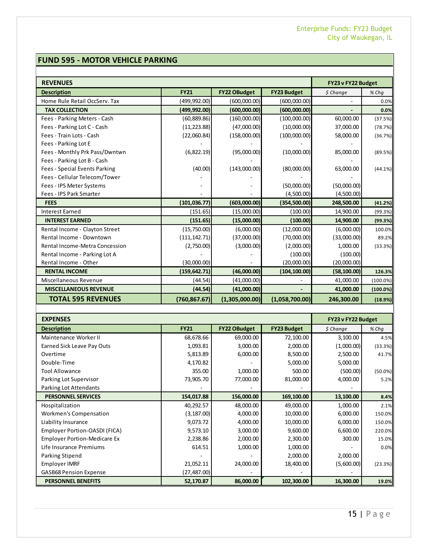#### **FUND 595 - MOTOR VEHICLE PARKING**

| <b>REVENUES</b>                      |               |                     |                    | FY23 v FY22 Budget |             |
|--------------------------------------|---------------|---------------------|--------------------|--------------------|-------------|
| <b>Description</b>                   | <b>FY21</b>   | <b>FY22 OBudget</b> | <b>FY23 Budget</b> | \$ Change          | % Chq       |
| Home Rule Retail OccServ. Tax        | (499,992.00)  | (600,000.00)        | (600,000.00)       |                    | 0.0%        |
| <b>TAX COLLECTION</b>                | (499, 992.00) | (600,000.00)        | (600,000.00)       |                    | 0.0%        |
| Fees - Parking Meters - Cash         | (60, 889.86)  | (160,000.00)        | (100,000.00)       | 60,000.00          | (37.5%)     |
| Fees - Parking Lot C - Cash          | (11, 223.88)  | (47,000.00)         | (10,000.00)        | 37,000.00          | (78.7%)     |
| Fees - Train Lots - Cash             | (22,060.84)   | (158,000.00)        | (100,000.00)       | 58,000.00          | (36.7%)     |
| Fees - Parking Lot E                 |               |                     |                    |                    |             |
| Fees - Monthly Prk Pass/Dwntwn       | (6,822.19)    | (95,000.00)         | (10,000.00)        | 85,000.00          | (89.5%)     |
| Fees - Parking Lot B - Cash          |               |                     |                    |                    |             |
| <b>Fees - Special Events Parking</b> | (40.00)       | (143,000.00)        | (80,000.00)        | 63,000.00          | $(44.1\%)$  |
| Fees - Cellular Telecom/Tower        |               |                     |                    |                    |             |
| Fees - IPS Meter Systems             |               |                     | (50,000.00)        | (50,000.00)        |             |
| Fees - IPS Park Smarter              |               |                     | (4,500.00)         | (4,500.00)         |             |
| <b>FEES</b>                          | (101, 036.77) | (603,000.00)        | (354, 500.00)      | 248,500.00         | (41.2%)     |
| <b>Interest Earned</b>               | (151.65)      | (15,000.00)         | (100.00)           | 14,900.00          | (99.3%)     |
| <b>INTEREST EARNED</b>               | (151.65)      | (15,000.00)         | (100.00)           | 14,900.00          | (99.3%)     |
| Rental Income - Clayton Street       | (15,750.00)   | (6,000.00)          | (12,000.00)        | (6,000.00)         | 100.0%      |
| Rental Income - Downtown             | (111, 142.71) | (37,000.00)         | (70,000.00)        | (33,000.00)        | 89.2%       |
| Rental Income-Metra Concession       | (2,750.00)    | (3,000.00)          | (2,000.00)         | 1,000.00           | (33.3%)     |
| Rental Income - Parking Lot A        |               |                     | (100.00)           | (100.00)           |             |
| Rental Income - Other                | (30,000.00)   |                     | (20,000.00)        | (20,000.00)        |             |
| <b>RENTAL INCOME</b>                 | (159, 642.71) | (46,000.00)         | (104, 100.00)      | (58, 100.00)       | 126.3%      |
| Miscellaneous Revenue                | (44.54)       | (41,000.00)         |                    | 41,000.00          | $(100.0\%)$ |
| <b>MISCELLANEOUS REVENUE</b>         | (44.54)       | (41,000.00)         |                    | 41,000.00          | $(100.0\%)$ |
| <b>TOTAL 595 REVENUES</b>            | (760, 867.67) | (1,305,000.00)      | (1,058,700.00)     | 246,300.00         | (18.9%)     |

| <b>EXPENSES</b>                     |              |                     |                    | FY23 v FY22 Budget |         |
|-------------------------------------|--------------|---------------------|--------------------|--------------------|---------|
| <b>Description</b>                  | <b>FY21</b>  | <b>FY22 OBudget</b> | <b>FY23 Budget</b> | \$ Change          | % Chq   |
| Maintenance Worker II               | 68,678.66    | 69,000.00           | 72,100.00          | 3,100.00           | 4.5%    |
| <b>Earned Sick Leave Pay Outs</b>   | 1,093.81     | 3,000.00            | 2,000.00           | (1,000.00)         | (33.3%) |
| Overtime                            | 5,813.89     | 6,000.00            | 8,500.00           | 2,500.00           | 41.7%   |
| Double-Time                         | 4,170.82     |                     | 5,000.00           | 5,000.00           |         |
| <b>Tool Allowance</b>               | 355.00       | 1,000.00            | 500.00             | (500.00)           | (50.0%) |
| Parking Lot Supervisor              | 73,905.70    | 77,000.00           | 81,000.00          | 4,000.00           | 5.2%    |
| Parking Lot Attendants              |              |                     |                    |                    |         |
| <b>PERSONNEL SERVICES</b>           | 154,017.88   | 156,000.00          | 169,100.00         | 13,100.00          | 8.4%    |
| Hospitalization                     | 40,292.57    | 48,000.00           | 49,000.00          | 1,000.00           | 2.1%    |
| <b>Workmen's Compensation</b>       | (3, 187.00)  | 4,000.00            | 10,000.00          | 6,000.00           | 150.0%  |
| Liability Insurance                 | 9,073.72     | 4,000.00            | 10,000.00          | 6,000.00           | 150.0%  |
| Employer Portion-OASDI (FICA)       | 9,573.10     | 3,000.00            | 9,600.00           | 6,600.00           | 220.0%  |
| <b>Employer Portion-Medicare Ex</b> | 2,238.86     | 2,000.00            | 2,300.00           | 300.00             | 15.0%   |
| Life Insurance Premiums             | 614.51       | 1,000.00            | 1,000.00           |                    | 0.0%    |
| Parking Stipend                     |              |                     | 2,000.00           | 2,000.00           |         |
| <b>Employer IMRF</b>                | 21,052.11    | 24,000.00           | 18,400.00          | (5,600.00)         | (23.3%) |
| <b>GASB68 Pension Expense</b>       | (27, 487.00) |                     |                    |                    |         |
| <b>PERSONNEL BENEFITS</b>           | 52,170.87    | 86,000.00           | 102,300.00         | 16,300.00          | 19.0%   |